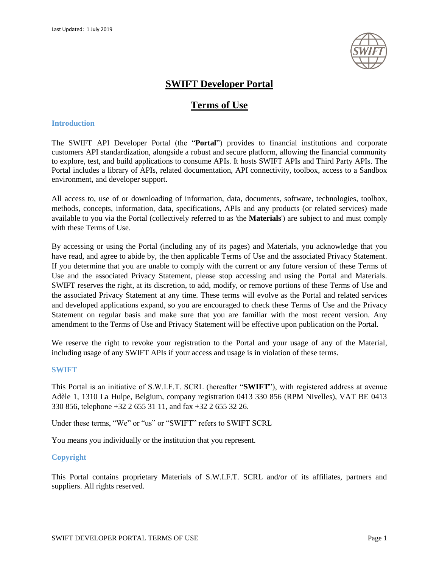

# **SWIFT Developer Portal**

# **Terms of Use**

## **Introduction**

The SWIFT API Developer Portal (the "**Portal**") provides to financial institutions and corporate customers API standardization, alongside a robust and secure platform, allowing the financial community to explore, test, and build applications to consume APIs. It hosts SWIFT APIs and Third Party APIs. The Portal includes a library of APIs, related documentation, API connectivity, toolbox, access to a Sandbox environment, and developer support.

All access to, use of or downloading of information, data, documents, software, technologies, toolbox, methods, concepts, information, data, specifications, APIs and any products (or related services) made available to you via the Portal (collectively referred to as 'the **Materials**') are subject to and must comply with these Terms of Use.

By accessing or using the Portal (including any of its pages) and Materials, you acknowledge that you have read, and agree to abide by, the then applicable Terms of Use and the associated Privacy Statement. If you determine that you are unable to comply with the current or any future version of these Terms of Use and the associated Privacy Statement, please stop accessing and using the Portal and Materials. SWIFT reserves the right, at its discretion, to add, modify, or remove portions of these Terms of Use and the associated Privacy Statement at any time. These terms will evolve as the Portal and related services and developed applications expand, so you are encouraged to check these Terms of Use and the Privacy Statement on regular basis and make sure that you are familiar with the most recent version. Any amendment to the Terms of Use and Privacy Statement will be effective upon publication on the Portal.

We reserve the right to revoke your registration to the Portal and your usage of any of the Material, including usage of any SWIFT APIs if your access and usage is in violation of these terms.

# **SWIFT**

This Portal is an initiative of S.W.I.F.T. SCRL (hereafter "**SWIFT**"), with registered address at avenue Adèle 1, 1310 La Hulpe, Belgium, company registration 0413 330 856 (RPM Nivelles), VAT BE 0413 330 856, telephone +32 2 655 31 11, and fax +32 2 655 32 26.

Under these terms, "We" or "us" or "SWIFT" refers to SWIFT SCRL

You means you individually or the institution that you represent.

# **Copyright**

This Portal contains proprietary Materials of S.W.I.F.T. SCRL and/or of its affiliates, partners and suppliers. All rights reserved.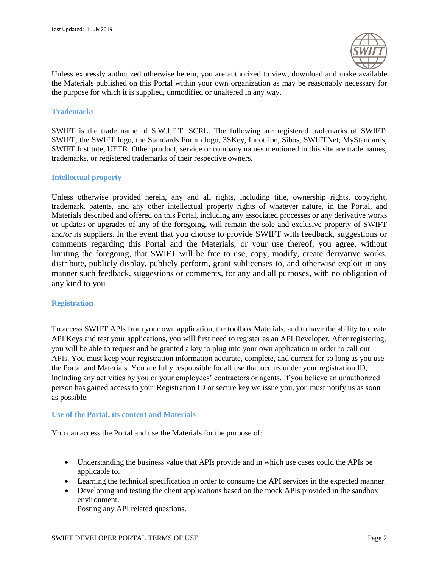

Unless expressly authorized otherwise herein, you are authorized to view, download and make available the Materials published on this Portal within your own organization as may be reasonably necessary for the purpose for which it is supplied, unmodified or unaltered in any way.

#### **Trademarks**

SWIFT is the trade name of S.W.I.F.T. SCRL. The following are registered trademarks of SWIFT: SWIFT, the SWIFT logo, the Standards Forum logo, 3SKey, Innotribe, Sibos, SWIFTNet, MyStandards, SWIFT Institute, UETR. Other product, service or company names mentioned in this site are trade names, trademarks, or registered trademarks of their respective owners.

# **Intellectual property**

Unless otherwise provided herein, any and all rights, including title, ownership rights, copyright, trademark, patents, and any other intellectual property rights of whatever nature, in the Portal, and Materials described and offered on this Portal, including any associated processes or any derivative works or updates or upgrades of any of the foregoing, will remain the sole and exclusive property of SWIFT and/or its suppliers. In the event that you choose to provide SWIFT with feedback, suggestions or comments regarding this Portal and the Materials, or your use thereof, you agree, without limiting the foregoing, that SWIFT will be free to use, copy, modify, create derivative works, distribute, publicly display, publicly perform, grant sublicenses to, and otherwise exploit in any manner such feedback, suggestions or comments, for any and all purposes, with no obligation of any kind to you

# **Registration**

To access SWIFT APIs from your own application, the toolbox Materials, and to have the ability to create API Keys and test your applications, you will first need to register as an API Developer. After registering, you will be able to request and be granted a key to plug into your own application in order to call our APIs. You must keep your registration information accurate, complete, and current for so long as you use the Portal and Materials. You are fully responsible for all use that occurs under your registration ID, including any activities by you or your employees' contractors or agents. If you believe an unauthorized person has gained access to your Registration ID or secure key we issue you, you must notify us as soon as possible.

#### **Use of the Portal, its content and Materials**

You can access the Portal and use the Materials for the purpose of:

- Understanding the business value that APIs provide and in which use cases could the APIs be applicable to.
- Learning the technical specification in order to consume the API services in the expected manner.
- Developing and testing the client applications based on the mock APIs provided in the sandbox environment.

Posting any API related questions.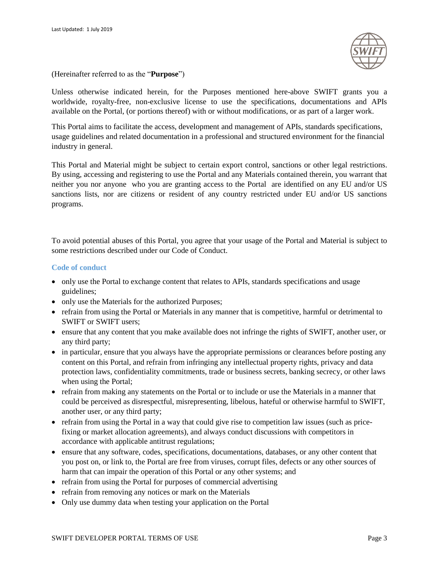

(Hereinafter referred to as the "**Purpose**")

Unless otherwise indicated herein, for the Purposes mentioned here-above SWIFT grants you a worldwide, royalty-free, non-exclusive license to use the specifications, documentations and APIs available on the Portal, (or portions thereof) with or without modifications, or as part of a larger work.

This Portal aims to facilitate the access, development and management of APIs, standards specifications, usage guidelines and related documentation in a professional and structured environment for the financial industry in general.

This Portal and Material might be subject to certain export control, sanctions or other legal restrictions. By using, accessing and registering to use the Portal and any Materials contained therein, you warrant that neither you nor anyone who you are granting access to the Portal are identified on any EU and/or US sanctions lists, nor are citizens or resident of any country restricted under EU and/or US sanctions programs.

To avoid potential abuses of this Portal, you agree that your usage of the Portal and Material is subject to some restrictions described under our Code of Conduct.

## **Code of conduct**

- only use the Portal to exchange content that relates to APIs, standards specifications and usage guidelines;
- only use the Materials for the authorized Purposes;
- refrain from using the Portal or Materials in any manner that is competitive, harmful or detrimental to SWIFT or SWIFT users;
- ensure that any content that you make available does not infringe the rights of SWIFT, another user, or any third party;
- in particular, ensure that you always have the appropriate permissions or clearances before posting any content on this Portal, and refrain from infringing any intellectual property rights, privacy and data protection laws, confidentiality commitments, trade or business secrets, banking secrecy, or other laws when using the Portal;
- refrain from making any statements on the Portal or to include or use the Materials in a manner that could be perceived as disrespectful, misrepresenting, libelous, hateful or otherwise harmful to SWIFT, another user, or any third party;
- refrain from using the Portal in a way that could give rise to competition law issues (such as pricefixing or market allocation agreements), and always conduct discussions with competitors in accordance with applicable antitrust regulations;
- ensure that any software, codes, specifications, documentations, databases, or any other content that you post on, or link to, the Portal are free from viruses, corrupt files, defects or any other sources of harm that can impair the operation of this Portal or any other systems; and
- refrain from using the Portal for purposes of commercial advertising
- refrain from removing any notices or mark on the Materials
- Only use dummy data when testing your application on the Portal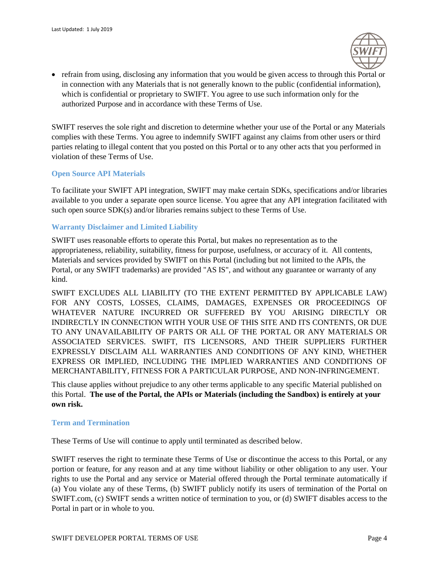

 refrain from using, disclosing any information that you would be given access to through this Portal or in connection with any Materials that is not generally known to the public (confidential information), which is confidential or proprietary to SWIFT. You agree to use such information only for the authorized Purpose and in accordance with these Terms of Use.

SWIFT reserves the sole right and discretion to determine whether your use of the Portal or any Materials complies with these Terms. You agree to indemnify SWIFT against any claims from other users or third parties relating to illegal content that you posted on this Portal or to any other acts that you performed in violation of these Terms of Use.

# **Open Source API Materials**

To facilitate your SWIFT API integration, SWIFT may make certain SDKs, specifications and/or libraries available to you under a separate open source license. You agree that any API integration facilitated with such open source SDK(s) and/or libraries remains subject to these Terms of Use.

# **Warranty Disclaimer and Limited Liability**

SWIFT uses reasonable efforts to operate this Portal, but makes no representation as to the appropriateness, reliability, suitability, fitness for purpose, usefulness, or accuracy of it. All contents, Materials and services provided by SWIFT on this Portal (including but not limited to the APIs, the Portal, or any SWIFT trademarks) are provided "AS IS", and without any guarantee or warranty of any kind.

SWIFT EXCLUDES ALL LIABILITY (TO THE EXTENT PERMITTED BY APPLICABLE LAW) FOR ANY COSTS, LOSSES, CLAIMS, DAMAGES, EXPENSES OR PROCEEDINGS OF WHATEVER NATURE INCURRED OR SUFFERED BY YOU ARISING DIRECTLY OR INDIRECTLY IN CONNECTION WITH YOUR USE OF THIS SITE AND ITS CONTENTS, OR DUE TO ANY UNAVAILABILITY OF PARTS OR ALL OF THE PORTAL OR ANY MATERIALS OR ASSOCIATED SERVICES. SWIFT, ITS LICENSORS, AND THEIR SUPPLIERS FURTHER EXPRESSLY DISCLAIM ALL WARRANTIES AND CONDITIONS OF ANY KIND, WHETHER EXPRESS OR IMPLIED, INCLUDING THE IMPLIED WARRANTIES AND CONDITIONS OF MERCHANTABILITY, FITNESS FOR A PARTICULAR PURPOSE, AND NON-INFRINGEMENT.

This clause applies without prejudice to any other terms applicable to any specific Material published on this Portal. **The use of the Portal, the APIs or Materials (including the Sandbox) is entirely at your own risk.**

# **Term and Termination**

These Terms of Use will continue to apply until terminated as described below.

SWIFT reserves the right to terminate these Terms of Use or discontinue the access to this Portal, or any portion or feature, for any reason and at any time without liability or other obligation to any user. Your rights to use the Portal and any service or Material offered through the Portal terminate automatically if (a) You violate any of these Terms, (b) SWIFT publicly notify its users of termination of the Portal on SWIFT.com, (c) SWIFT sends a written notice of termination to you, or (d) SWIFT disables access to the Portal in part or in whole to you.